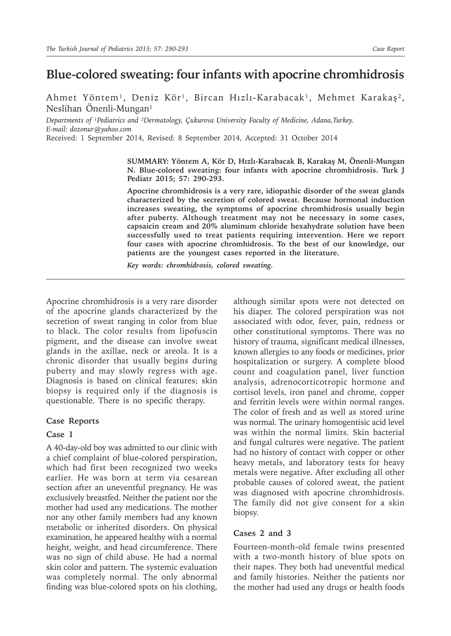# **Blue-colored sweating: four infants with apocrine chromhidrosis**

Ahmet Yöntem<sup>1</sup>, Deniz Kör<sup>1</sup>, Bircan Hızlı-Karabacak<sup>1</sup>, Mehmet Karakaş<sup>2</sup>, Neslihan Önenli-Mungan $<sup>1</sup>$ </sup>

*Departments* of <sup>*I*</sup>Pediatrics and <sup>2</sup>Dermatology, Cukurova University Faculty of Medicine, Adana,Turkey. *E-mail: dozonur@yahoo.com*

Received: 1 September 2014, Revised: 8 September 2014, Accepted: 31 October 2014

**SUMMARY: Yöntem A, Kör D, Hızlı-Karabacak B, Karakaş M, Önenli-Mungan N. Blue-colored sweating: four infants with apocrine chromhidrosis. Turk J Pediatr 2015; 57: 290-293.**

**Apocrine chromhidrosis is a very rare, idiopathic disorder of the sweat glands characterized by the secretion of colored sweat. Because hormonal induction increases sweating, the symptoms of apocrine chromhidrosis usually begin after puberty. Although treatment may not be necessary in some cases, capsaicin cream and 20% aluminum chloride hexahydrate solution have been successfully used to treat patients requiring intervention. Here we report four cases with apocrine chromhidrosis. To the best of our knowledge, our patients are the youngest cases reported in the literature.**

*Key words: chromhidrosis, colored sweating.*

Apocrine chromhidrosis is a very rare disorder of the apocrine glands characterized by the secretion of sweat ranging in color from blue to black. The color results from lipofuscin pigment, and the disease can involve sweat glands in the axillae, neck or areola. It is a chronic disorder that usually begins during puberty and may slowly regress with age. Diagnosis is based on clinical features; skin biopsy is required only if the diagnosis is questionable. There is no specific therapy.

## **Case Reports**

## **Case 1**

A 40-day-old boy was admitted to our clinic with a chief complaint of blue-colored perspiration, which had first been recognized two weeks earlier. He was born at term via cesarean section after an uneventful pregnancy. He was exclusively breastfed. Neither the patient nor the mother had used any medications. The mother nor any other family members had any known metabolic or inherited disorders. On physical examination, he appeared healthy with a normal height, weight, and head circumference. There was no sign of child abuse. He had a normal skin color and pattern. The systemic evaluation was completely normal. The only abnormal finding was blue-colored spots on his clothing,

although similar spots were not detected on his diaper. The colored perspiration was not associated with odor, fever, pain, redness or other constitutional symptoms. There was no history of trauma, significant medical illnesses, known allergies to any foods or medicines, prior hospitalization or surgery. A complete blood count and coagulation panel, liver function analysis, adrenocorticotropic hormone and cortisol levels, iron panel and chrome, copper and ferritin levels were within normal ranges. The color of fresh and as well as stored urine was normal. The urinary homogentisic acid level was within the normal limits. Skin bacterial and fungal cultures were negative. The patient had no history of contact with copper or other heavy metals, and laboratory tests for heavy metals were negative. After excluding all other probable causes of colored sweat, the patient was diagnosed with apocrine chromhidrosis. The family did not give consent for a skin biopsy.

## **Cases 2 and 3**

Fourteen-month-old female twins presented with a two-month history of blue spots on their napes. They both had uneventful medical and family histories. Neither the patients nor the mother had used any drugs or health foods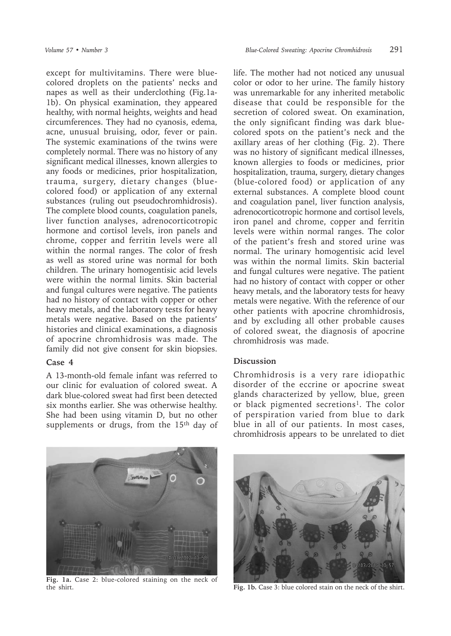except for multivitamins. There were bluecolored droplets on the patients' necks and napes as well as their underclothing (Fig.1a-1b). On physical examination, they appeared healthy, with normal heights, weights and head circumferences. They had no cyanosis, edema, acne, unusual bruising, odor, fever or pain. The systemic examinations of the twins were completely normal. There was no history of any significant medical illnesses, known allergies to any foods or medicines, prior hospitalization, trauma, surgery, dietary changes (bluecolored food) or application of any external substances (ruling out pseudochromhidrosis). The complete blood counts, coagulation panels, liver function analyses, adrenocorticotropic hormone and cortisol levels, iron panels and chrome, copper and ferritin levels were all within the normal ranges. The color of fresh as well as stored urine was normal for both children. The urinary homogentisic acid levels were within the normal limits. Skin bacterial and fungal cultures were negative. The patients had no history of contact with copper or other heavy metals, and the laboratory tests for heavy metals were negative. Based on the patients' histories and clinical examinations, a diagnosis of apocrine chromhidrosis was made. The family did not give consent for skin biopsies.

## **Case 4**

A 13-month-old female infant was referred to our clinic for evaluation of colored sweat. A dark blue-colored sweat had first been detected six months earlier. She was otherwise healthy. She had been using vitamin D, but no other supplements or drugs, from the 15<sup>th</sup> day of life. The mother had not noticed any unusual color or odor to her urine. The family history was unremarkable for any inherited metabolic disease that could be responsible for the secretion of colored sweat. On examination, the only significant finding was dark bluecolored spots on the patient's neck and the axillary areas of her clothing (Fig. 2). There was no history of significant medical illnesses, known allergies to foods or medicines, prior hospitalization, trauma, surgery, dietary changes (blue-colored food) or application of any external substances. A complete blood count and coagulation panel, liver function analysis, adrenocorticotropic hormone and cortisol levels, iron panel and chrome, copper and ferritin levels were within normal ranges. The color of the patient's fresh and stored urine was normal. The urinary homogentisic acid level was within the normal limits. Skin bacterial and fungal cultures were negative. The patient had no history of contact with copper or other heavy metals, and the laboratory tests for heavy metals were negative. With the reference of our other patients with apocrine chromhidrosis, and by excluding all other probable causes of colored sweat, the diagnosis of apocrine chromhidrosis was made.

## **Discussion**

Chromhidrosis is a very rare idiopathic disorder of the eccrine or apocrine sweat glands characterized by yellow, blue, green or black pigmented secretions<sup>1</sup>. The color of perspiration varied from blue to dark blue in all of our patients. In most cases, chromhidrosis appears to be unrelated to diet



**Fig. 1a.** Case 2: blue-colored staining on the neck of the shirt. **Fig. 1b.** Case 3: blue colored stain on the neck of the shirt.

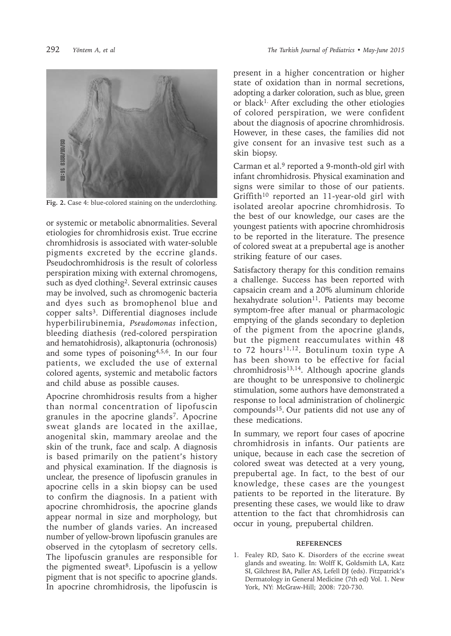

**Fig. 2.** Case 4: blue-colored staining on the underclothing.

or systemic or metabolic abnormalities. Several etiologies for chromhidrosis exist. True eccrine chromhidrosis is associated with water-soluble pigments excreted by the eccrine glands. Pseudochromhidrosis is the result of colorless perspiration mixing with external chromogens, such as dyed clothing<sup>2</sup>. Several extrinsic causes may be involved, such as chromogenic bacteria and dyes such as bromophenol blue and copper salts<sup>3</sup>. Differential diagnoses include hyperbilirubinemia, *Pseudomonas* infection, bleeding diathesis (red-colored perspiration and hematohidrosis), alkaptonuria (ochronosis) and some types of poisoning4,5,6. In our four patients, we excluded the use of external colored agents, systemic and metabolic factors and child abuse as possible causes.

Apocrine chromhidrosis results from a higher than normal concentration of lipofuscin granules in the apocrine glands<sup>7</sup>. Apocrine sweat glands are located in the axillae, anogenital skin, mammary areolae and the skin of the trunk, face and scalp. A diagnosis is based primarily on the patient's history and physical examination. If the diagnosis is unclear, the presence of lipofuscin granules in apocrine cells in a skin biopsy can be used to confirm the diagnosis. In a patient with apocrine chromhidrosis, the apocrine glands appear normal in size and morphology, but the number of glands varies. An increased number of yellow-brown lipofuscin granules are observed in the cytoplasm of secretory cells. The lipofuscin granules are responsible for the pigmented sweat<sup>8</sup>. Lipofuscin is a yellow pigment that is not specific to apocrine glands. In apocrine chromhidrosis, the lipofuscin is

present in a higher concentration or higher state of oxidation than in normal secretions, adopting a darker coloration, such as blue, green or black1. After excluding the other etiologies of colored perspiration, we were confident about the diagnosis of apocrine chromhidrosis. However, in these cases, the families did not give consent for an invasive test such as a skin biopsy.

Carman et al.<sup>9</sup> reported a 9-month-old girl with infant chromhidrosis. Physical examination and signs were similar to those of our patients. Griffith<sup>10</sup> reported an 11-year-old girl with isolated areolar apocrine chromhidrosis. To the best of our knowledge, our cases are the youngest patients with apocrine chromhidrosis to be reported in the literature. The presence of colored sweat at a prepubertal age is another striking feature of our cases.

Satisfactory therapy for this condition remains a challenge. Success has been reported with capsaicin cream and a 20% aluminum chloride hexahydrate solution<sup>11</sup>. Patients may become symptom-free after manual or pharmacologic emptying of the glands secondary to depletion of the pigment from the apocrine glands, but the pigment reaccumulates within 48 to 72 hours<sup>11,12</sup>. Botulinum toxin type A has been shown to be effective for facial  $chromhidrosis<sup>13,14</sup>$ . Although apocrine glands are thought to be unresponsive to cholinergic stimulation, some authors have demonstrated a response to local administration of cholinergic compounds15. Our patients did not use any of these medications.

In summary, we report four cases of apocrine chromhidrosis in infants. Our patients are unique, because in each case the secretion of colored sweat was detected at a very young, prepubertal age. In fact, to the best of our knowledge, these cases are the youngest patients to be reported in the literature. By presenting these cases, we would like to draw attention to the fact that chromhidrosis can occur in young, prepubertal children.

#### **REFERENCES**

1. Fealey RD, Sato K. Disorders of the eccrine sweat glands and sweating. In: Wolff K, Goldsmith LA, Katz SI, Gilchrest BA, Paller AS, Lefell DJ (eds). Fitzpatrick's Dermatology in General Medicine (7th ed) Vol. 1. New York, NY: McGraw-Hill; 2008: 720-730.